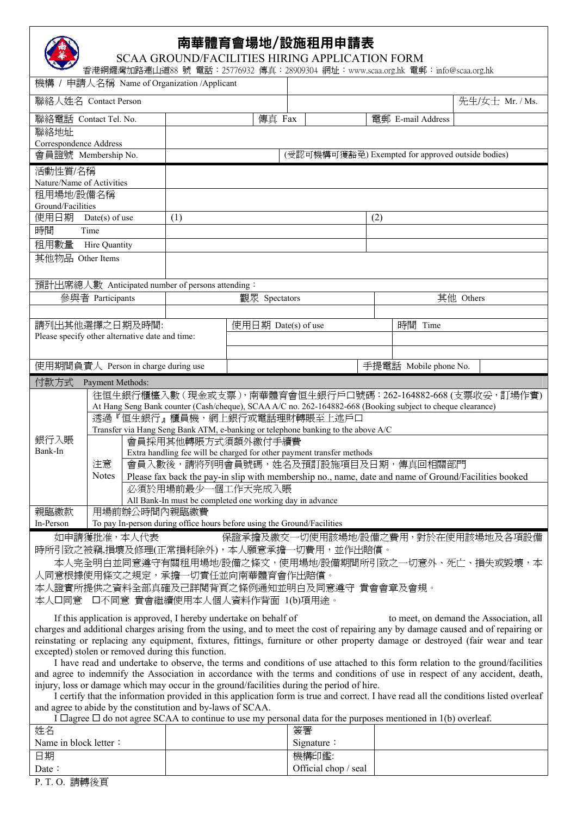

# 南華體育會場地/設施租用申請表

SCAA GROUND/FACILITIES HIRING APPLICATION FORM

香港銅鑼灣加路連山道88 號 電話:25776932 傳真:28909304 網址:www.scaa.org.hk 電郵:info@scaa.org.hk

| 機構 / 申請人名稱 Name of Organization /Applicant                                                                                                                                              |                                                                         |                                                                                                                  |                                                                               |    |  |                                     |                                                           |  |  |
|-----------------------------------------------------------------------------------------------------------------------------------------------------------------------------------------|-------------------------------------------------------------------------|------------------------------------------------------------------------------------------------------------------|-------------------------------------------------------------------------------|----|--|-------------------------------------|-----------------------------------------------------------|--|--|
| 聯絡人姓名 Contact Person                                                                                                                                                                    |                                                                         |                                                                                                                  |                                                                               |    |  |                                     | 先生/女士 Mr. / Ms.                                           |  |  |
|                                                                                                                                                                                         | 聯絡電話 Contact Tel. No.                                                   |                                                                                                                  | 傳真 Fax                                                                        |    |  | 電郵 E-mail Address                   |                                                           |  |  |
| 聯絡地址                                                                                                                                                                                    |                                                                         |                                                                                                                  |                                                                               |    |  |                                     |                                                           |  |  |
| Correspondence Address                                                                                                                                                                  |                                                                         |                                                                                                                  |                                                                               |    |  |                                     |                                                           |  |  |
|                                                                                                                                                                                         | 會員證號 Membership No.                                                     |                                                                                                                  | (受認可機構可獲豁免) Exempted for approved outside bodies)                             |    |  |                                     |                                                           |  |  |
| 活動性質/名稱                                                                                                                                                                                 |                                                                         |                                                                                                                  |                                                                               |    |  |                                     |                                                           |  |  |
| Nature/Name of Activities<br>租用場地/設備名稱                                                                                                                                                  |                                                                         |                                                                                                                  |                                                                               |    |  |                                     |                                                           |  |  |
| Ground/Facilities                                                                                                                                                                       |                                                                         |                                                                                                                  |                                                                               |    |  |                                     |                                                           |  |  |
| 使用日期                                                                                                                                                                                    | Date(s) of use                                                          | (1)<br>(2)                                                                                                       |                                                                               |    |  |                                     |                                                           |  |  |
| 時間<br>Time                                                                                                                                                                              |                                                                         |                                                                                                                  |                                                                               |    |  |                                     |                                                           |  |  |
| 租用數量                                                                                                                                                                                    | Hire Quantity                                                           |                                                                                                                  |                                                                               |    |  |                                     |                                                           |  |  |
| 其他物品 Other Items                                                                                                                                                                        |                                                                         |                                                                                                                  |                                                                               |    |  |                                     |                                                           |  |  |
|                                                                                                                                                                                         |                                                                         |                                                                                                                  |                                                                               |    |  |                                     |                                                           |  |  |
|                                                                                                                                                                                         | 預計出席總人數 Anticipated number of persons attending:                        |                                                                                                                  |                                                                               |    |  |                                     |                                                           |  |  |
|                                                                                                                                                                                         | 參與者 Participants                                                        |                                                                                                                  | 觀眾 Spectators                                                                 |    |  | 其他 Others                           |                                                           |  |  |
|                                                                                                                                                                                         |                                                                         |                                                                                                                  |                                                                               |    |  |                                     |                                                           |  |  |
|                                                                                                                                                                                         | 請列出其他選擇之日期及時間:                                                          |                                                                                                                  | 使用日期 Date(s) of use                                                           |    |  | 時間 Time                             |                                                           |  |  |
|                                                                                                                                                                                         | Please specify other alternative date and time:                         |                                                                                                                  |                                                                               |    |  |                                     |                                                           |  |  |
|                                                                                                                                                                                         |                                                                         |                                                                                                                  |                                                                               |    |  |                                     |                                                           |  |  |
|                                                                                                                                                                                         | 使用期間負責人 Person in charge during use                                     |                                                                                                                  |                                                                               |    |  | 手提電話 Mobile phone No.               |                                                           |  |  |
| 付款方式                                                                                                                                                                                    | Payment Methods:                                                        |                                                                                                                  |                                                                               |    |  |                                     |                                                           |  |  |
|                                                                                                                                                                                         |                                                                         |                                                                                                                  |                                                                               |    |  |                                     | 往恒生銀行櫃檯入數(現金或支票),南華體育會恒生銀行戶口號碼:262-164882-668 (支票收妥,訂場作實) |  |  |
|                                                                                                                                                                                         |                                                                         | At Hang Seng Bank counter (Cash/cheque), SCAA A/C no. 262-164882-668 (Booking subject to cheque clearance)       |                                                                               |    |  |                                     |                                                           |  |  |
|                                                                                                                                                                                         |                                                                         | 透過『恒生銀行』櫃員機,網上銀行或電話理財轉賬至上述戶口<br>Transfer via Hang Seng Bank ATM, e-banking or telephone banking to the above A/C |                                                                               |    |  |                                     |                                                           |  |  |
| 銀行入賬                                                                                                                                                                                    |                                                                         | 會員採用其他轉賬方式須額外繳付手續費                                                                                               |                                                                               |    |  |                                     |                                                           |  |  |
| Bank-In                                                                                                                                                                                 |                                                                         | Extra handling fee will be charged for other payment transfer methods                                            |                                                                               |    |  |                                     |                                                           |  |  |
|                                                                                                                                                                                         | 注意                                                                      |                                                                                                                  |                                                                               |    |  | 會員入數後,請將列明會員號碼,姓名及預訂設施項目及日期,傳真回相關部門 |                                                           |  |  |
|                                                                                                                                                                                         | <b>Notes</b>                                                            | Please fax back the pay-in slip with membership no., name, date and name of Ground/Facilities booked             |                                                                               |    |  |                                     |                                                           |  |  |
|                                                                                                                                                                                         |                                                                         |                                                                                                                  | 必須於用場前最少一個工作天完成入賬<br>All Bank-In must be completed one working day in advance |    |  |                                     |                                                           |  |  |
| 親臨繳款                                                                                                                                                                                    | 用場前辦公時間內親臨繳費                                                            |                                                                                                                  |                                                                               |    |  |                                     |                                                           |  |  |
| In-Person                                                                                                                                                                               | To pay In-person during office hours before using the Ground/Facilities |                                                                                                                  |                                                                               |    |  |                                     |                                                           |  |  |
| 如申請獲批准,本人代表<br>保證承擔及繳交一切使用該場地/設備之費用,對於在使用該場地及各項設備                                                                                                                                       |                                                                         |                                                                                                                  |                                                                               |    |  |                                     |                                                           |  |  |
| 時所引致之被竊,損壞及修理(正常損耗除外),本人願意承擔一切費用,並作出賠償。                                                                                                                                                 |                                                                         |                                                                                                                  |                                                                               |    |  |                                     |                                                           |  |  |
| 本人完全明白並同意遵守有關租用場地/設備之條文,使用場地/設備期間所引致之一切意外、死亡、損失或毀壞,本                                                                                                                                    |                                                                         |                                                                                                                  |                                                                               |    |  |                                     |                                                           |  |  |
| 人同意根據使用條文之規定,承擔一切責任並向南華體育會作出賠償。                                                                                                                                                         |                                                                         |                                                                                                                  |                                                                               |    |  |                                     |                                                           |  |  |
| 本人證實所提供之資料全部真確及己詳閱背頁之條例通知並明白及同意遵守 貴會會章及會規。                                                                                                                                              |                                                                         |                                                                                                                  |                                                                               |    |  |                                     |                                                           |  |  |
| 本人口同意 口不同意 貴會繼續使用本人個人資料作背面 1(b)項用途。                                                                                                                                                     |                                                                         |                                                                                                                  |                                                                               |    |  |                                     |                                                           |  |  |
| If this application is approved, I hereby undertake on behalf of<br>to meet, on demand the Association, all                                                                             |                                                                         |                                                                                                                  |                                                                               |    |  |                                     |                                                           |  |  |
| charges and additional charges arising from the using, and to meet the cost of repairing any by damage caused and of repairing or                                                       |                                                                         |                                                                                                                  |                                                                               |    |  |                                     |                                                           |  |  |
| reinstating or replacing any equipment, fixtures, fittings, furniture or other property damage or destroyed (fair wear and tear                                                         |                                                                         |                                                                                                                  |                                                                               |    |  |                                     |                                                           |  |  |
| excepted) stolen or removed during this function.<br>I have read and undertake to observe, the terms and conditions of use attached to this form relation to the ground/facilities      |                                                                         |                                                                                                                  |                                                                               |    |  |                                     |                                                           |  |  |
| and agree to indemnify the Association in accordance with the terms and conditions of use in respect of any accident, death,                                                            |                                                                         |                                                                                                                  |                                                                               |    |  |                                     |                                                           |  |  |
| injury, loss or damage which may occur in the ground/facilities during the period of hire.                                                                                              |                                                                         |                                                                                                                  |                                                                               |    |  |                                     |                                                           |  |  |
| I certify that the information provided in this application form is true and correct. I have read all the conditions listed overleaf                                                    |                                                                         |                                                                                                                  |                                                                               |    |  |                                     |                                                           |  |  |
| and agree to abide by the constitution and by-laws of SCAA.<br>I $\Box$ agree $\Box$ do not agree SCAA to continue to use my personal data for the purposes mentioned in 1(b) overleaf. |                                                                         |                                                                                                                  |                                                                               |    |  |                                     |                                                           |  |  |
|                                                                                                                                                                                         |                                                                         |                                                                                                                  |                                                                               |    |  |                                     |                                                           |  |  |
| 姓名                                                                                                                                                                                      |                                                                         |                                                                                                                  |                                                                               | 簽署 |  |                                     |                                                           |  |  |

| 妊治                    | 僉者                   |  |
|-----------------------|----------------------|--|
| Name in block letter: | Signature :          |  |
| 日期                    | 機構印鑑:                |  |
| Date:                 | Official chop / seal |  |

P. T. O. 請轉後頁